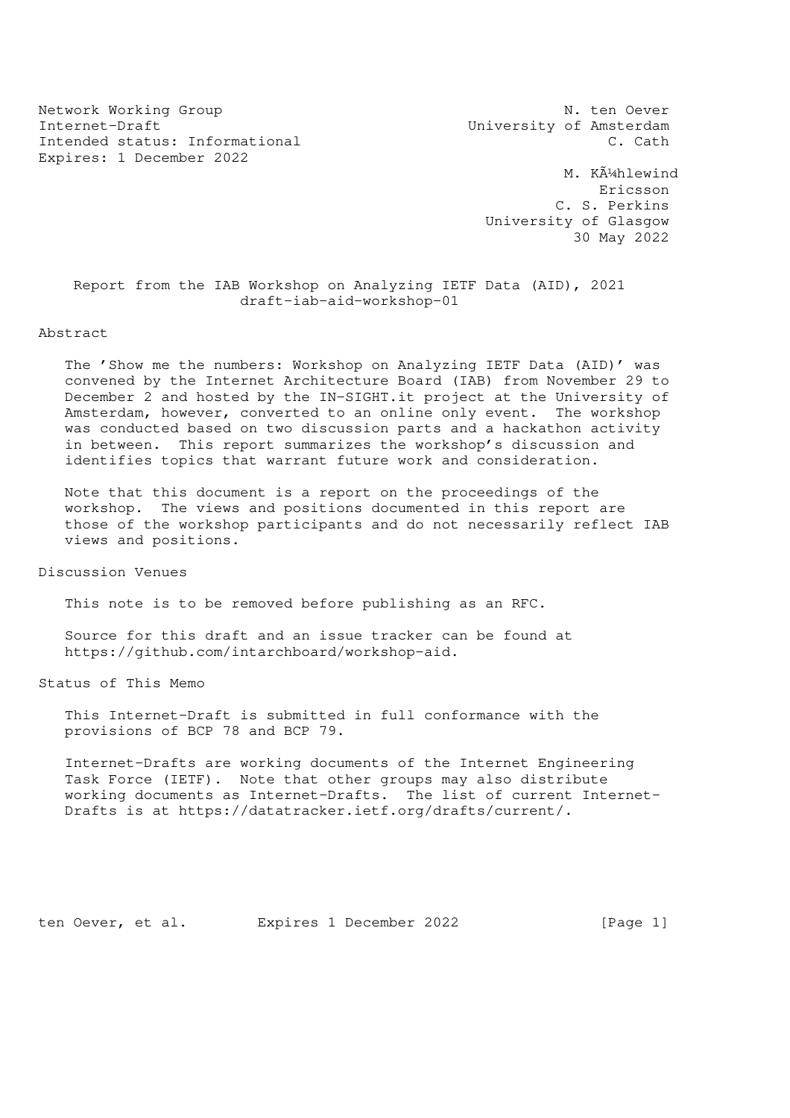Network Working Group N. ten Oever Internet-Draft **Internet-Draft** Music Constant University of Amsterdam Intended status: Informational C. Cath Expires: 1 December 2022

M. Kļhlewind Ericsson C. S. Perkins University of Glasgow 30 May 2022

 Report from the IAB Workshop on Analyzing IETF Data (AID), 2021 draft-iab-aid-workshop-01

### Abstract

 The 'Show me the numbers: Workshop on Analyzing IETF Data (AID)' was convened by the Internet Architecture Board (IAB) from November 29 to December 2 and hosted by the IN-SIGHT.it project at the University of Amsterdam, however, converted to an online only event. The workshop was conducted based on two discussion parts and a hackathon activity in between. This report summarizes the workshop's discussion and identifies topics that warrant future work and consideration.

 Note that this document is a report on the proceedings of the workshop. The views and positions documented in this report are those of the workshop participants and do not necessarily reflect IAB views and positions.

Discussion Venues

This note is to be removed before publishing as an RFC.

 Source for this draft and an issue tracker can be found at https://github.com/intarchboard/workshop-aid.

Status of This Memo

 This Internet-Draft is submitted in full conformance with the provisions of BCP 78 and BCP 79.

 Internet-Drafts are working documents of the Internet Engineering Task Force (IETF). Note that other groups may also distribute working documents as Internet-Drafts. The list of current Internet- Drafts is at https://datatracker.ietf.org/drafts/current/.

ten Oever, et al. Expires 1 December 2022 [Page 1]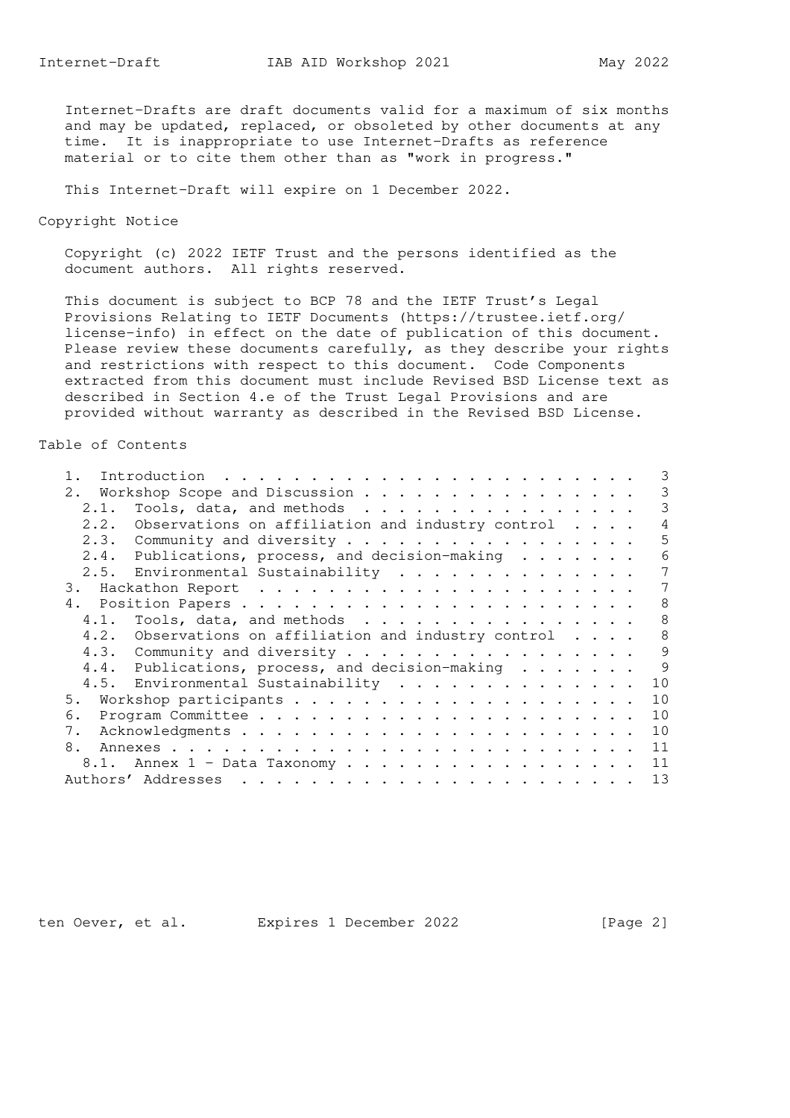Internet-Drafts are draft documents valid for a maximum of six months and may be updated, replaced, or obsoleted by other documents at any time. It is inappropriate to use Internet-Drafts as reference material or to cite them other than as "work in progress."

This Internet-Draft will expire on 1 December 2022.

Copyright Notice

 Copyright (c) 2022 IETF Trust and the persons identified as the document authors. All rights reserved.

 This document is subject to BCP 78 and the IETF Trust's Legal Provisions Relating to IETF Documents (https://trustee.ietf.org/ license-info) in effect on the date of publication of this document. Please review these documents carefully, as they describe your rights and restrictions with respect to this document. Code Components extracted from this document must include Revised BSD License text as described in Section 4.e of the Trust Legal Provisions and are provided without warranty as described in the Revised BSD License.

### Table of Contents

|      |                                                             | 3 |
|------|-------------------------------------------------------------|---|
|      | 2. Workshop Scope and Discussion                            | 3 |
| 2.1. | Tools, data, and methods                                    | 3 |
| 2.2. | Observations on affiliation and industry control $\ldots$ . | 4 |
|      | 2.3. Community and diversity                                | 5 |
|      | 2.4. Publications, process, and decision-making             | 6 |
|      | 2.5. Environmental Sustainability                           | 7 |
|      |                                                             | 7 |
|      |                                                             | 8 |
|      |                                                             | 8 |
|      | 4.2. Observations on affiliation and industry control       | 8 |
|      | 4.3. Community and diversity                                | 9 |
|      | 4.4. Publications, process, and decision-making             | 9 |
|      | 4.5. Environmental Sustainability<br>10                     |   |
| 5.   | 10                                                          |   |
| 6.   | 10                                                          |   |
| 7.   | 10                                                          |   |
| 8.   | 11                                                          |   |
|      | 11<br>8.1. Annex 1 - Data Taxonomy                          |   |
|      | 13                                                          |   |

ten Oever, et al. Expires 1 December 2022 [Page 2]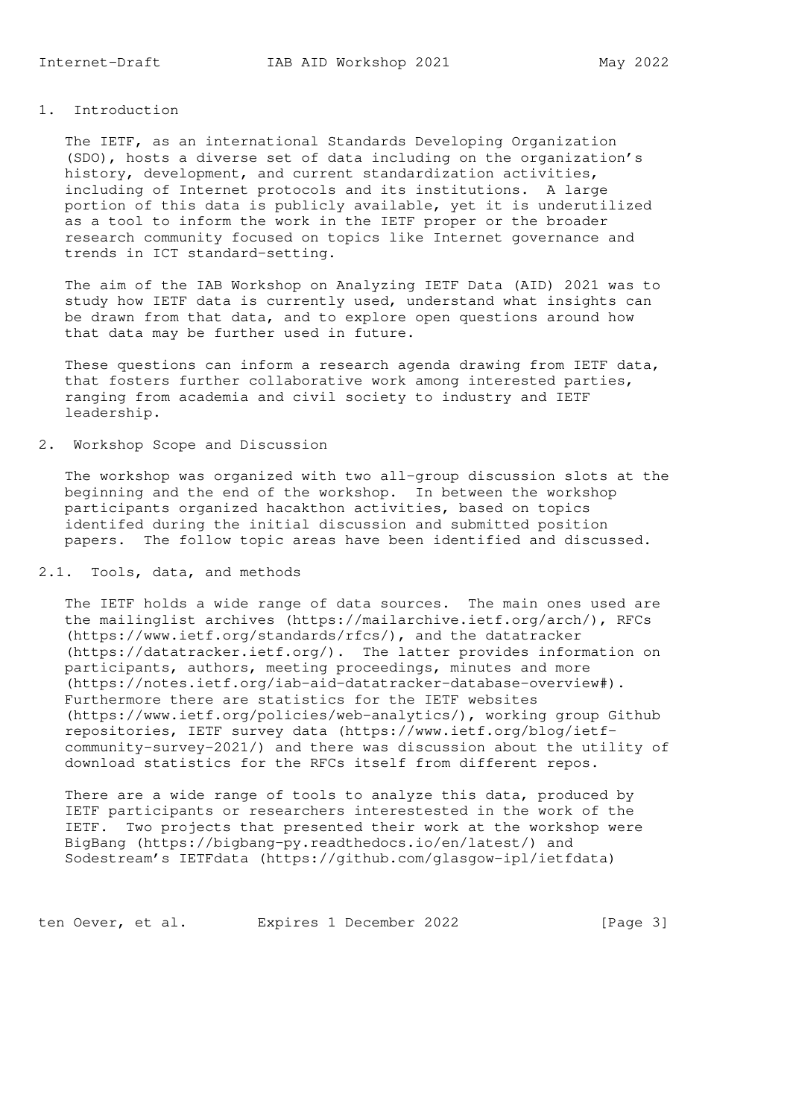## 1. Introduction

 The IETF, as an international Standards Developing Organization (SDO), hosts a diverse set of data including on the organization's history, development, and current standardization activities, including of Internet protocols and its institutions. A large portion of this data is publicly available, yet it is underutilized as a tool to inform the work in the IETF proper or the broader research community focused on topics like Internet governance and trends in ICT standard-setting.

 The aim of the IAB Workshop on Analyzing IETF Data (AID) 2021 was to study how IETF data is currently used, understand what insights can be drawn from that data, and to explore open questions around how that data may be further used in future.

 These questions can inform a research agenda drawing from IETF data, that fosters further collaborative work among interested parties, ranging from academia and civil society to industry and IETF leadership.

## 2. Workshop Scope and Discussion

 The workshop was organized with two all-group discussion slots at the beginning and the end of the workshop. In between the workshop participants organized hacakthon activities, based on topics identifed during the initial discussion and submitted position papers. The follow topic areas have been identified and discussed.

## 2.1. Tools, data, and methods

 The IETF holds a wide range of data sources. The main ones used are the mailinglist archives (https://mailarchive.ietf.org/arch/), RFCs (https://www.ietf.org/standards/rfcs/), and the datatracker (https://datatracker.ietf.org/). The latter provides information on participants, authors, meeting proceedings, minutes and more (https://notes.ietf.org/iab-aid-datatracker-database-overview#). Furthermore there are statistics for the IETF websites (https://www.ietf.org/policies/web-analytics/), working group Github repositories, IETF survey data (https://www.ietf.org/blog/ietf community-survey-2021/) and there was discussion about the utility of download statistics for the RFCs itself from different repos.

 There are a wide range of tools to analyze this data, produced by IETF participants or researchers interestested in the work of the IETF. Two projects that presented their work at the workshop were BigBang (https://bigbang-py.readthedocs.io/en/latest/) and Sodestream's IETFdata (https://github.com/glasgow-ipl/ietfdata)

ten Oever, et al. Expires 1 December 2022 [Page 3]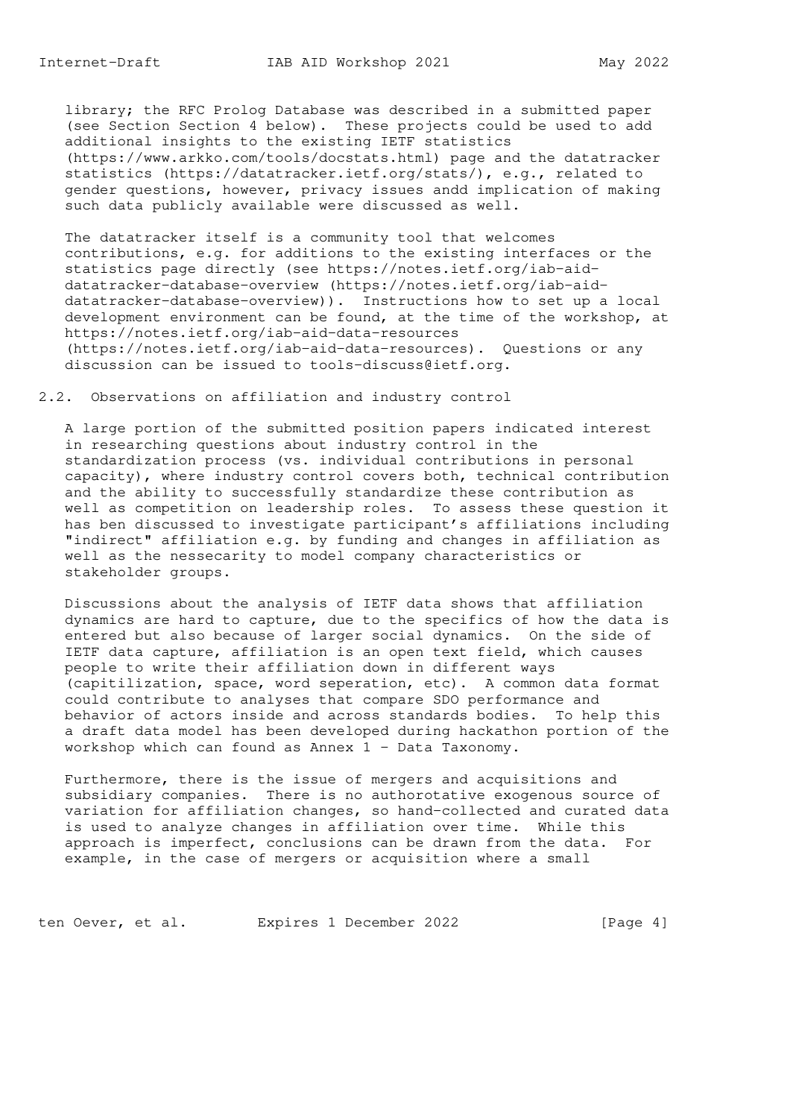library; the RFC Prolog Database was described in a submitted paper (see Section Section 4 below). These projects could be used to add additional insights to the existing IETF statistics (https://www.arkko.com/tools/docstats.html) page and the datatracker statistics (https://datatracker.ietf.org/stats/), e.g., related to gender questions, however, privacy issues andd implication of making such data publicly available were discussed as well.

 The datatracker itself is a community tool that welcomes contributions, e.g. for additions to the existing interfaces or the statistics page directly (see https://notes.ietf.org/iab-aid datatracker-database-overview (https://notes.ietf.org/iab-aid datatracker-database-overview)). Instructions how to set up a local development environment can be found, at the time of the workshop, at https://notes.ietf.org/iab-aid-data-resources (https://notes.ietf.org/iab-aid-data-resources). Questions or any discussion can be issued to tools-discuss@ietf.org.

2.2. Observations on affiliation and industry control

 A large portion of the submitted position papers indicated interest in researching questions about industry control in the standardization process (vs. individual contributions in personal capacity), where industry control covers both, technical contribution and the ability to successfully standardize these contribution as well as competition on leadership roles. To assess these question it has ben discussed to investigate participant's affiliations including "indirect" affiliation e.g. by funding and changes in affiliation as well as the nessecarity to model company characteristics or stakeholder groups.

 Discussions about the analysis of IETF data shows that affiliation dynamics are hard to capture, due to the specifics of how the data is entered but also because of larger social dynamics. On the side of IETF data capture, affiliation is an open text field, which causes people to write their affiliation down in different ways (capitilization, space, word seperation, etc). A common data format could contribute to analyses that compare SDO performance and behavior of actors inside and across standards bodies. To help this a draft data model has been developed during hackathon portion of the workshop which can found as Annex 1 - Data Taxonomy.

 Furthermore, there is the issue of mergers and acquisitions and subsidiary companies. There is no authorotative exogenous source of variation for affiliation changes, so hand-collected and curated data is used to analyze changes in affiliation over time. While this approach is imperfect, conclusions can be drawn from the data. For example, in the case of mergers or acquisition where a small

ten Oever, et al. Expires 1 December 2022 [Page 4]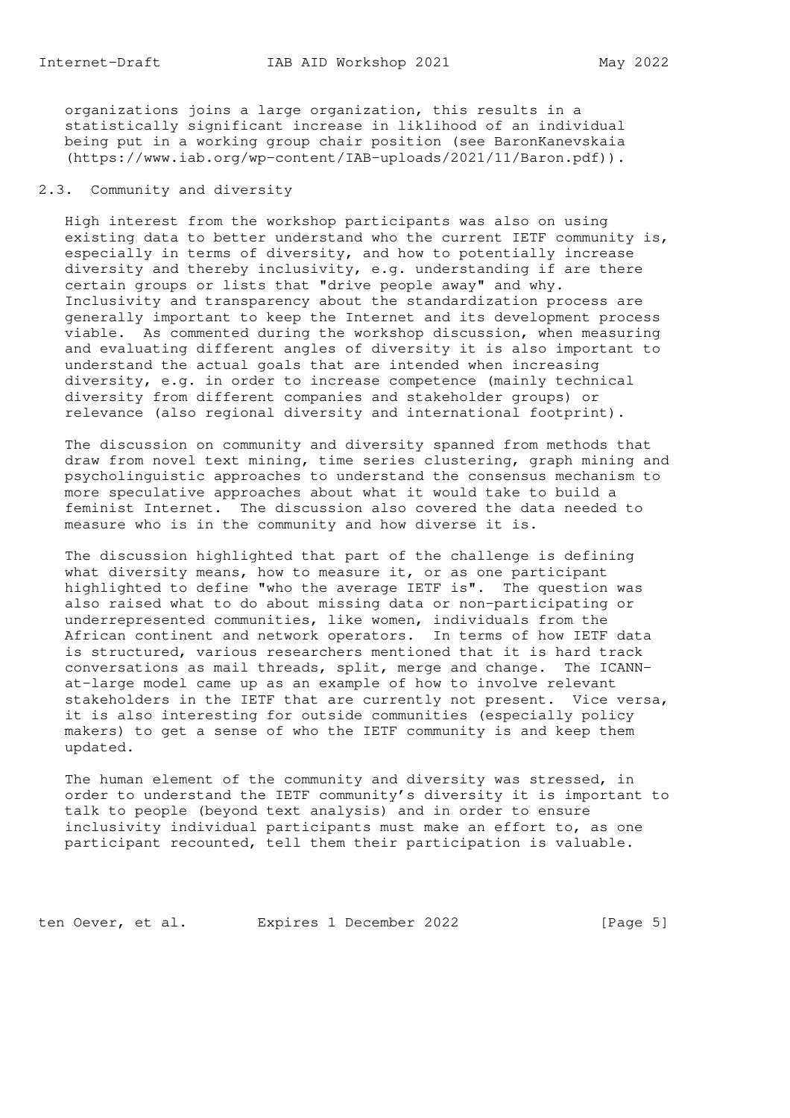organizations joins a large organization, this results in a statistically significant increase in liklihood of an individual being put in a working group chair position (see BaronKanevskaia (https://www.iab.org/wp-content/IAB-uploads/2021/11/Baron.pdf)).

## 2.3. Community and diversity

 High interest from the workshop participants was also on using existing data to better understand who the current IETF community is, especially in terms of diversity, and how to potentially increase diversity and thereby inclusivity, e.g. understanding if are there certain groups or lists that "drive people away" and why. Inclusivity and transparency about the standardization process are generally important to keep the Internet and its development process viable. As commented during the workshop discussion, when measuring and evaluating different angles of diversity it is also important to understand the actual goals that are intended when increasing diversity, e.g. in order to increase competence (mainly technical diversity from different companies and stakeholder groups) or relevance (also regional diversity and international footprint).

 The discussion on community and diversity spanned from methods that draw from novel text mining, time series clustering, graph mining and psycholinguistic approaches to understand the consensus mechanism to more speculative approaches about what it would take to build a feminist Internet. The discussion also covered the data needed to measure who is in the community and how diverse it is.

 The discussion highlighted that part of the challenge is defining what diversity means, how to measure it, or as one participant highlighted to define "who the average IETF is". The question was also raised what to do about missing data or non-participating or underrepresented communities, like women, individuals from the African continent and network operators. In terms of how IETF data is structured, various researchers mentioned that it is hard track conversations as mail threads, split, merge and change. The ICANN at-large model came up as an example of how to involve relevant stakeholders in the IETF that are currently not present. Vice versa, it is also interesting for outside communities (especially policy makers) to get a sense of who the IETF community is and keep them updated.

 The human element of the community and diversity was stressed, in order to understand the IETF community's diversity it is important to talk to people (beyond text analysis) and in order to ensure inclusivity individual participants must make an effort to, as one participant recounted, tell them their participation is valuable.

ten Oever, et al. Expires 1 December 2022 [Page 5]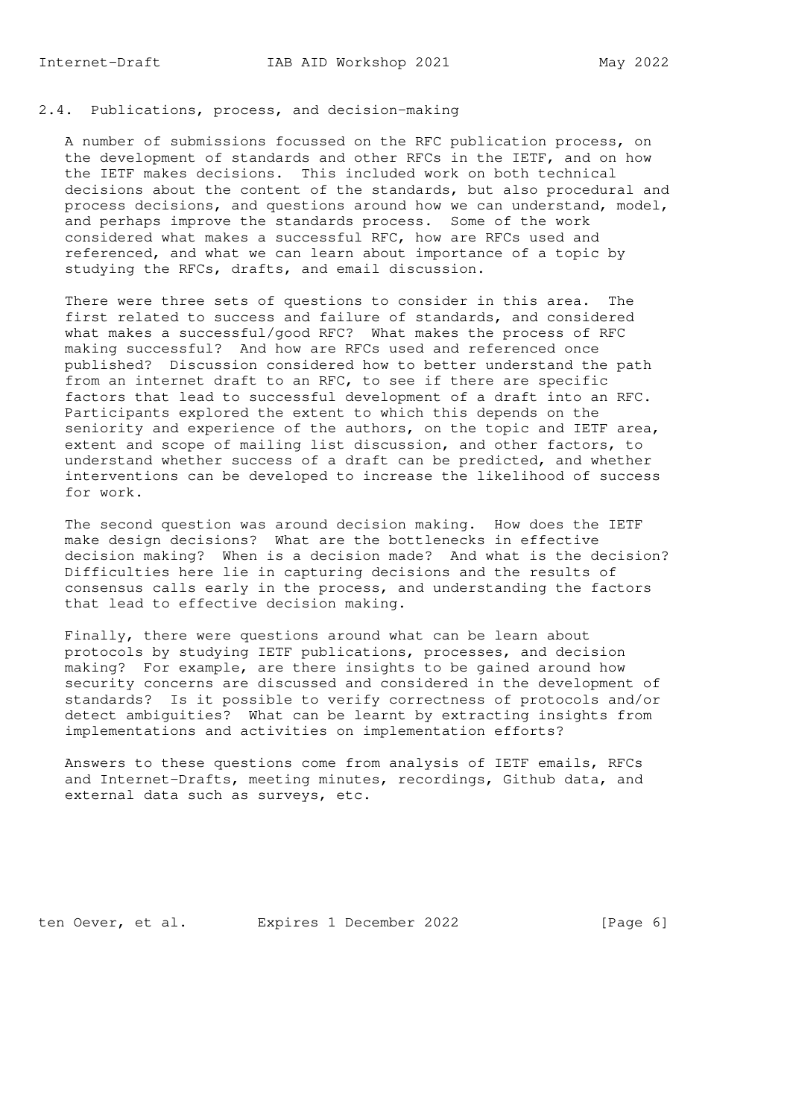# 2.4. Publications, process, and decision-making

 A number of submissions focussed on the RFC publication process, on the development of standards and other RFCs in the IETF, and on how the IETF makes decisions. This included work on both technical decisions about the content of the standards, but also procedural and process decisions, and questions around how we can understand, model, and perhaps improve the standards process. Some of the work considered what makes a successful RFC, how are RFCs used and referenced, and what we can learn about importance of a topic by studying the RFCs, drafts, and email discussion.

 There were three sets of questions to consider in this area. The first related to success and failure of standards, and considered what makes a successful/good RFC? What makes the process of RFC making successful? And how are RFCs used and referenced once published? Discussion considered how to better understand the path from an internet draft to an RFC, to see if there are specific factors that lead to successful development of a draft into an RFC. Participants explored the extent to which this depends on the seniority and experience of the authors, on the topic and IETF area, extent and scope of mailing list discussion, and other factors, to understand whether success of a draft can be predicted, and whether interventions can be developed to increase the likelihood of success for work.

 The second question was around decision making. How does the IETF make design decisions? What are the bottlenecks in effective decision making? When is a decision made? And what is the decision? Difficulties here lie in capturing decisions and the results of consensus calls early in the process, and understanding the factors that lead to effective decision making.

 Finally, there were questions around what can be learn about protocols by studying IETF publications, processes, and decision making? For example, are there insights to be gained around how security concerns are discussed and considered in the development of standards? Is it possible to verify correctness of protocols and/or detect ambiguities? What can be learnt by extracting insights from implementations and activities on implementation efforts?

 Answers to these questions come from analysis of IETF emails, RFCs and Internet-Drafts, meeting minutes, recordings, Github data, and external data such as surveys, etc.

ten Oever, et al. Expires 1 December 2022 [Page 6]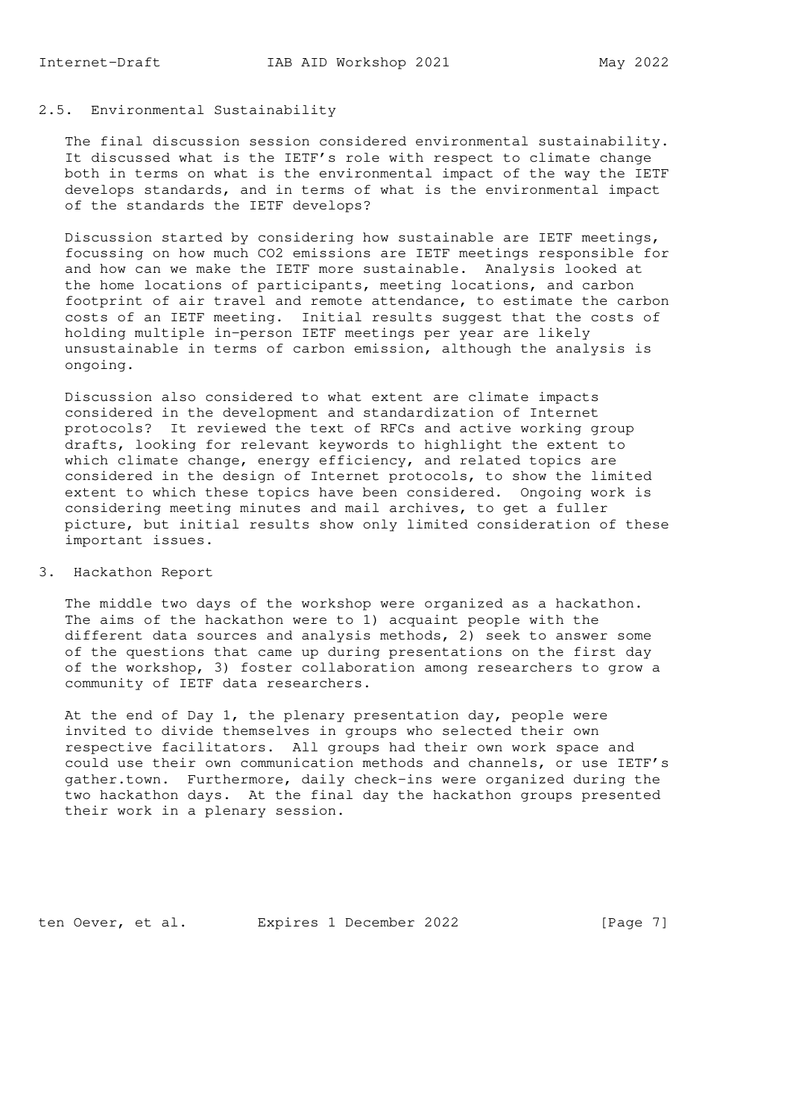# 2.5. Environmental Sustainability

 The final discussion session considered environmental sustainability. It discussed what is the IETF's role with respect to climate change both in terms on what is the environmental impact of the way the IETF develops standards, and in terms of what is the environmental impact of the standards the IETF develops?

 Discussion started by considering how sustainable are IETF meetings, focussing on how much CO2 emissions are IETF meetings responsible for and how can we make the IETF more sustainable. Analysis looked at the home locations of participants, meeting locations, and carbon footprint of air travel and remote attendance, to estimate the carbon costs of an IETF meeting. Initial results suggest that the costs of holding multiple in-person IETF meetings per year are likely unsustainable in terms of carbon emission, although the analysis is ongoing.

 Discussion also considered to what extent are climate impacts considered in the development and standardization of Internet protocols? It reviewed the text of RFCs and active working group drafts, looking for relevant keywords to highlight the extent to which climate change, energy efficiency, and related topics are considered in the design of Internet protocols, to show the limited extent to which these topics have been considered. Ongoing work is considering meeting minutes and mail archives, to get a fuller picture, but initial results show only limited consideration of these important issues.

## 3. Hackathon Report

 The middle two days of the workshop were organized as a hackathon. The aims of the hackathon were to 1) acquaint people with the different data sources and analysis methods, 2) seek to answer some of the questions that came up during presentations on the first day of the workshop, 3) foster collaboration among researchers to grow a community of IETF data researchers.

 At the end of Day 1, the plenary presentation day, people were invited to divide themselves in groups who selected their own respective facilitators. All groups had their own work space and could use their own communication methods and channels, or use IETF's gather.town. Furthermore, daily check-ins were organized during the two hackathon days. At the final day the hackathon groups presented their work in a plenary session.

ten Oever, et al. Expires 1 December 2022 [Page 7]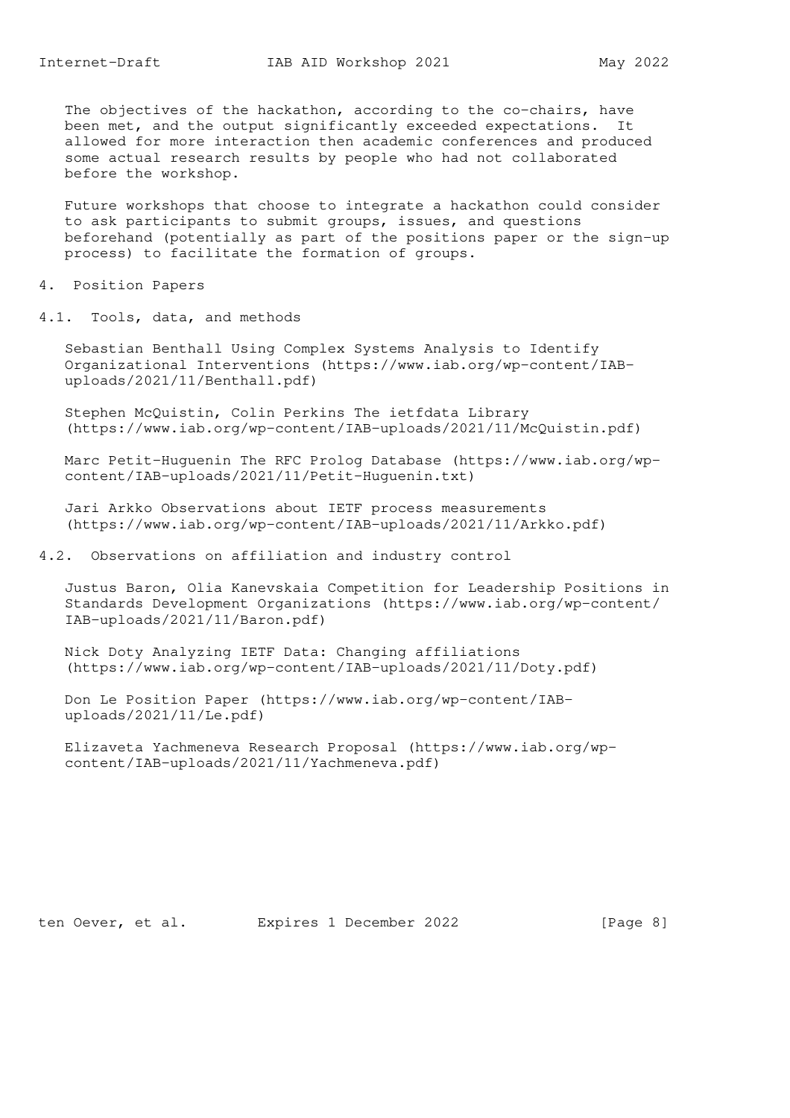The objectives of the hackathon, according to the co-chairs, have been met, and the output significantly exceeded expectations. It allowed for more interaction then academic conferences and produced some actual research results by people who had not collaborated before the workshop.

 Future workshops that choose to integrate a hackathon could consider to ask participants to submit groups, issues, and questions beforehand (potentially as part of the positions paper or the sign-up process) to facilitate the formation of groups.

4. Position Papers

4.1. Tools, data, and methods

 Sebastian Benthall Using Complex Systems Analysis to Identify Organizational Interventions (https://www.iab.org/wp-content/IAB uploads/2021/11/Benthall.pdf)

 Stephen McQuistin, Colin Perkins The ietfdata Library (https://www.iab.org/wp-content/IAB-uploads/2021/11/McQuistin.pdf)

 Marc Petit-Huguenin The RFC Prolog Database (https://www.iab.org/wp content/IAB-uploads/2021/11/Petit-Huguenin.txt)

 Jari Arkko Observations about IETF process measurements (https://www.iab.org/wp-content/IAB-uploads/2021/11/Arkko.pdf)

4.2. Observations on affiliation and industry control

 Justus Baron, Olia Kanevskaia Competition for Leadership Positions in Standards Development Organizations (https://www.iab.org/wp-content/ IAB-uploads/2021/11/Baron.pdf)

 Nick Doty Analyzing IETF Data: Changing affiliations (https://www.iab.org/wp-content/IAB-uploads/2021/11/Doty.pdf)

 Don Le Position Paper (https://www.iab.org/wp-content/IAB uploads/2021/11/Le.pdf)

 Elizaveta Yachmeneva Research Proposal (https://www.iab.org/wp content/IAB-uploads/2021/11/Yachmeneva.pdf)

ten Oever, et al. Expires 1 December 2022 [Page 8]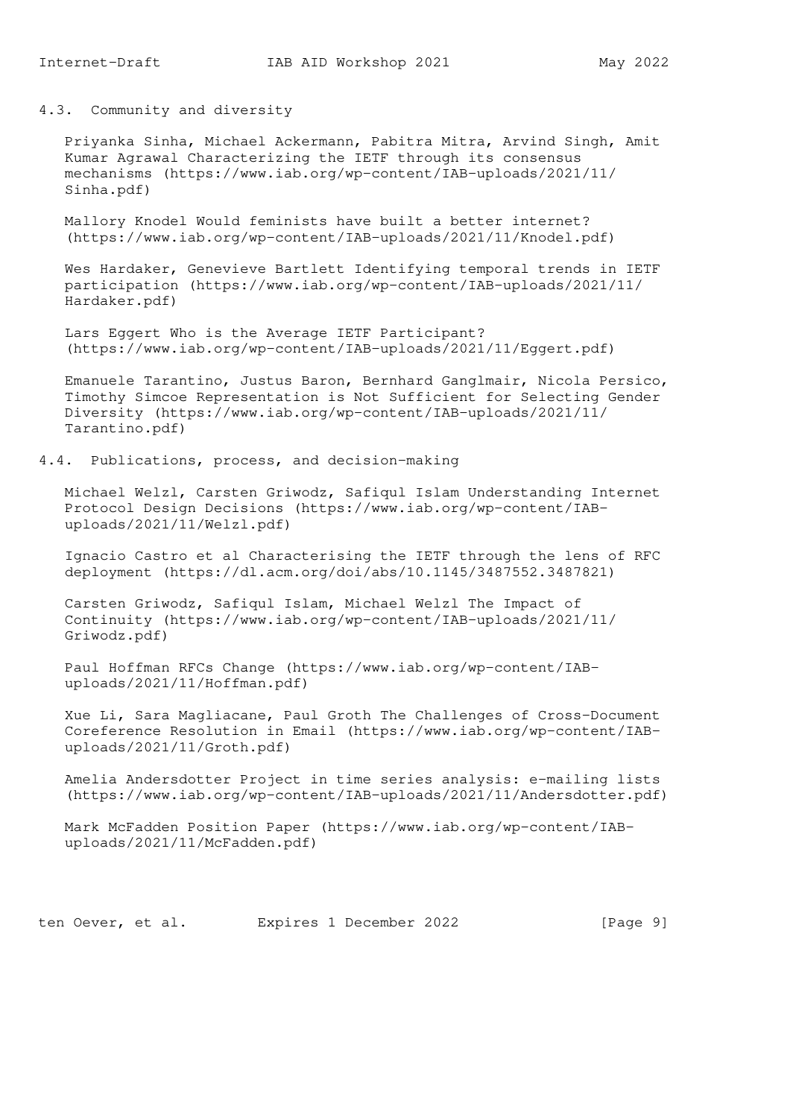4.3. Community and diversity

 Priyanka Sinha, Michael Ackermann, Pabitra Mitra, Arvind Singh, Amit Kumar Agrawal Characterizing the IETF through its consensus mechanisms (https://www.iab.org/wp-content/IAB-uploads/2021/11/ Sinha.pdf)

 Mallory Knodel Would feminists have built a better internet? (https://www.iab.org/wp-content/IAB-uploads/2021/11/Knodel.pdf)

 Wes Hardaker, Genevieve Bartlett Identifying temporal trends in IETF participation (https://www.iab.org/wp-content/IAB-uploads/2021/11/ Hardaker.pdf)

 Lars Eggert Who is the Average IETF Participant? (https://www.iab.org/wp-content/IAB-uploads/2021/11/Eggert.pdf)

 Emanuele Tarantino, Justus Baron, Bernhard Ganglmair, Nicola Persico, Timothy Simcoe Representation is Not Sufficient for Selecting Gender Diversity (https://www.iab.org/wp-content/IAB-uploads/2021/11/ Tarantino.pdf)

4.4. Publications, process, and decision-making

 Michael Welzl, Carsten Griwodz, Safiqul Islam Understanding Internet Protocol Design Decisions (https://www.iab.org/wp-content/IAB uploads/2021/11/Welzl.pdf)

 Ignacio Castro et al Characterising the IETF through the lens of RFC deployment (https://dl.acm.org/doi/abs/10.1145/3487552.3487821)

 Carsten Griwodz, Safiqul Islam, Michael Welzl The Impact of Continuity (https://www.iab.org/wp-content/IAB-uploads/2021/11/ Griwodz.pdf)

 Paul Hoffman RFCs Change (https://www.iab.org/wp-content/IAB uploads/2021/11/Hoffman.pdf)

 Xue Li, Sara Magliacane, Paul Groth The Challenges of Cross-Document Coreference Resolution in Email (https://www.iab.org/wp-content/IAB uploads/2021/11/Groth.pdf)

 Amelia Andersdotter Project in time series analysis: e-mailing lists (https://www.iab.org/wp-content/IAB-uploads/2021/11/Andersdotter.pdf)

 Mark McFadden Position Paper (https://www.iab.org/wp-content/IAB uploads/2021/11/McFadden.pdf)

ten Oever, et al. Expires 1 December 2022 [Page 9]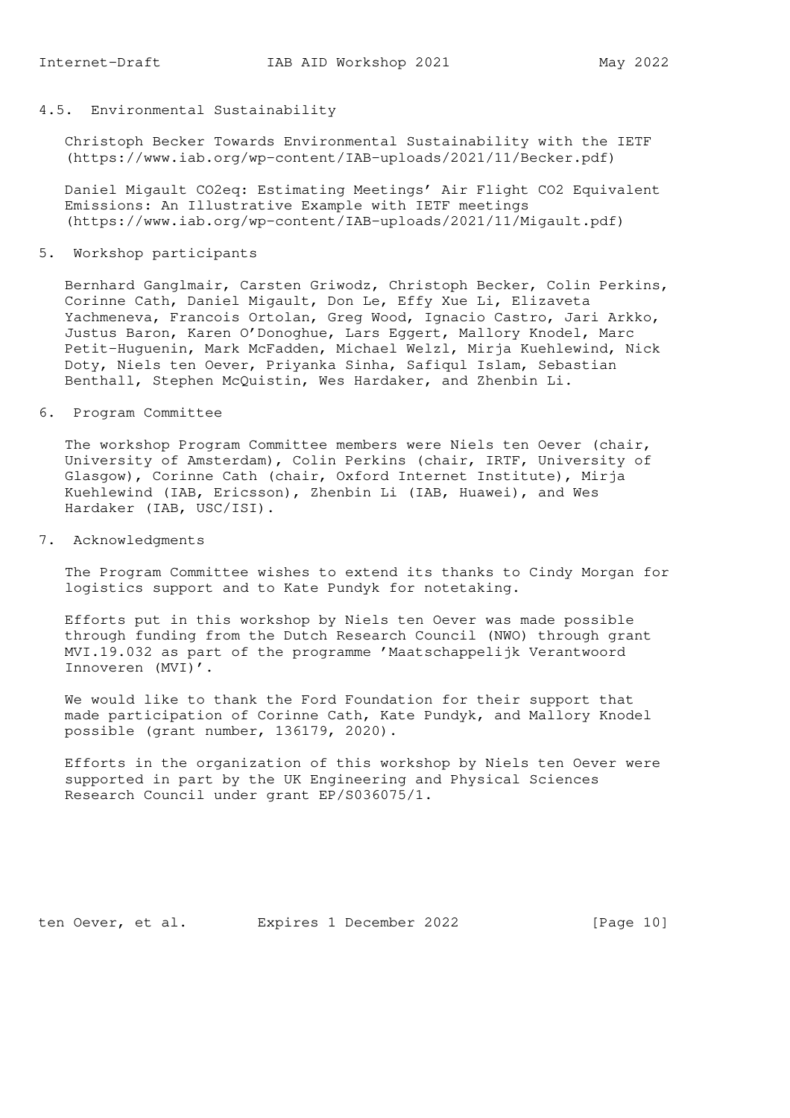## 4.5. Environmental Sustainability

 Christoph Becker Towards Environmental Sustainability with the IETF (https://www.iab.org/wp-content/IAB-uploads/2021/11/Becker.pdf)

 Daniel Migault CO2eq: Estimating Meetings' Air Flight CO2 Equivalent Emissions: An Illustrative Example with IETF meetings (https://www.iab.org/wp-content/IAB-uploads/2021/11/Migault.pdf)

5. Workshop participants

 Bernhard Ganglmair, Carsten Griwodz, Christoph Becker, Colin Perkins, Corinne Cath, Daniel Migault, Don Le, Effy Xue Li, Elizaveta Yachmeneva, Francois Ortolan, Greg Wood, Ignacio Castro, Jari Arkko, Justus Baron, Karen O'Donoghue, Lars Eggert, Mallory Knodel, Marc Petit-Huguenin, Mark McFadden, Michael Welzl, Mirja Kuehlewind, Nick Doty, Niels ten Oever, Priyanka Sinha, Safiqul Islam, Sebastian Benthall, Stephen McQuistin, Wes Hardaker, and Zhenbin Li.

6. Program Committee

 The workshop Program Committee members were Niels ten Oever (chair, University of Amsterdam), Colin Perkins (chair, IRTF, University of Glasgow), Corinne Cath (chair, Oxford Internet Institute), Mirja Kuehlewind (IAB, Ericsson), Zhenbin Li (IAB, Huawei), and Wes Hardaker (IAB, USC/ISI).

7. Acknowledgments

 The Program Committee wishes to extend its thanks to Cindy Morgan for logistics support and to Kate Pundyk for notetaking.

 Efforts put in this workshop by Niels ten Oever was made possible through funding from the Dutch Research Council (NWO) through grant MVI.19.032 as part of the programme 'Maatschappelijk Verantwoord Innoveren (MVI)'.

 We would like to thank the Ford Foundation for their support that made participation of Corinne Cath, Kate Pundyk, and Mallory Knodel possible (grant number, 136179, 2020).

 Efforts in the organization of this workshop by Niels ten Oever were supported in part by the UK Engineering and Physical Sciences Research Council under grant EP/S036075/1.

ten Oever, et al. Expires 1 December 2022 [Page 10]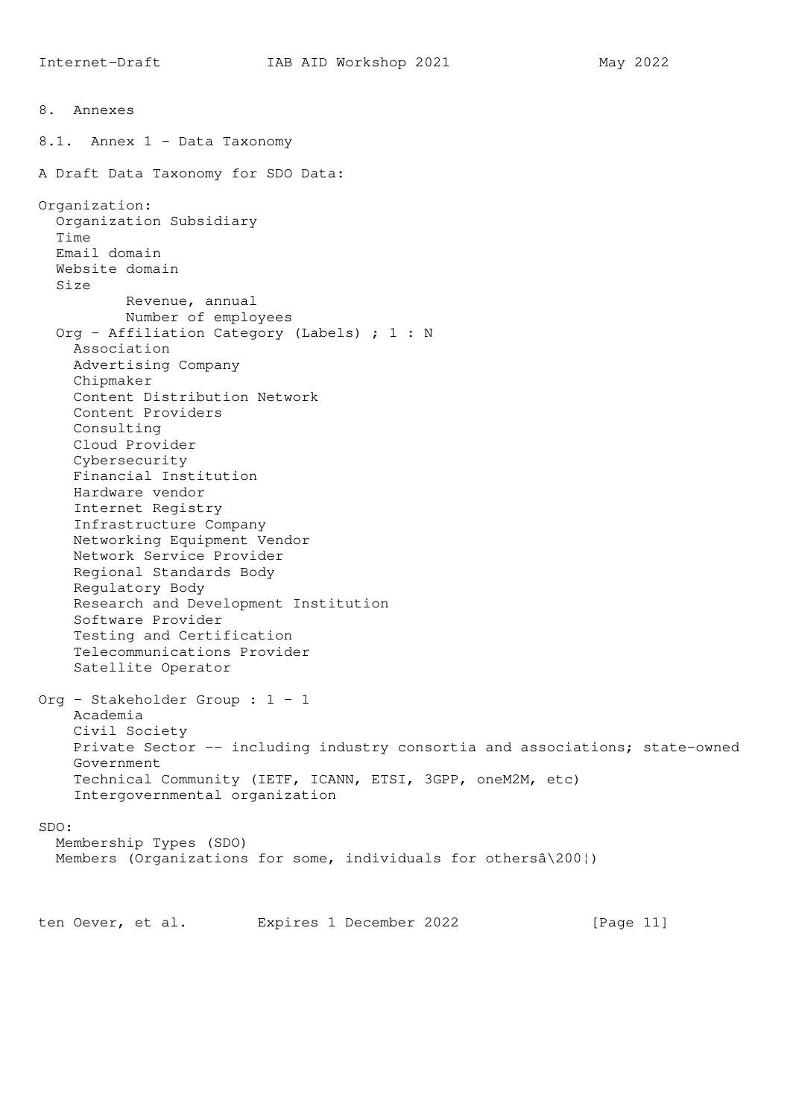8. Annexes 8.1. Annex 1 - Data Taxonomy A Draft Data Taxonomy for SDO Data: Organization: Organization Subsidiary Time Email domain Website domain Size Revenue, annual Number of employees Org - Affiliation Category (Labels) ; 1 : N Association Advertising Company Chipmaker Content Distribution Network Content Providers Consulting Cloud Provider Cybersecurity Financial Institution Hardware vendor Internet Registry Infrastructure Company Networking Equipment Vendor Network Service Provider Regional Standards Body Regulatory Body Research and Development Institution Software Provider Testing and Certification Telecommunications Provider Satellite Operator Org - Stakeholder Group : 1 - 1 Academia Civil Society Private Sector -- including industry consortia and associations; state-owned Government Technical Community (IETF, ICANN, ETSI, 3GPP, oneM2M, etc) Intergovernmental organization SDO: Membership Types (SDO) Members (Organizations for some, individuals for othersâ\200¦) ten Oever, et al. Expires 1 December 2022 [Page 11]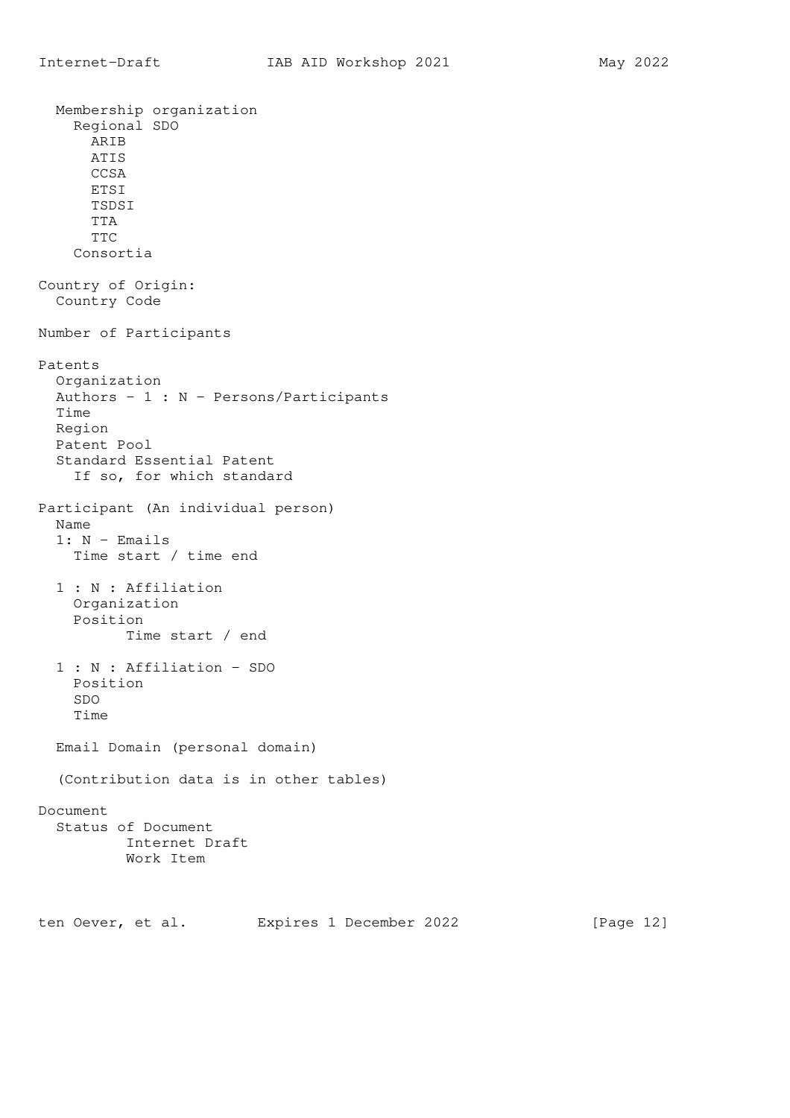Membership organization Regional SDO ARIB ATIS CCSA ETSI TSDSI TTA TTC Consortia Country of Origin: Country Code Number of Participants Patents Organization Authors - 1 : N - Persons/Participants Time Region Patent Pool Standard Essential Patent If so, for which standard Participant (An individual person) Name  $1: N -$  Emails Time start / time end 1 : N : Affiliation Organization Position Time start / end 1 : N : Affiliation - SDO Position SDO Time Email Domain (personal domain) (Contribution data is in other tables) Document Status of Document Internet Draft Work Item

ten Oever, et al. Expires 1 December 2022 [Page 12]